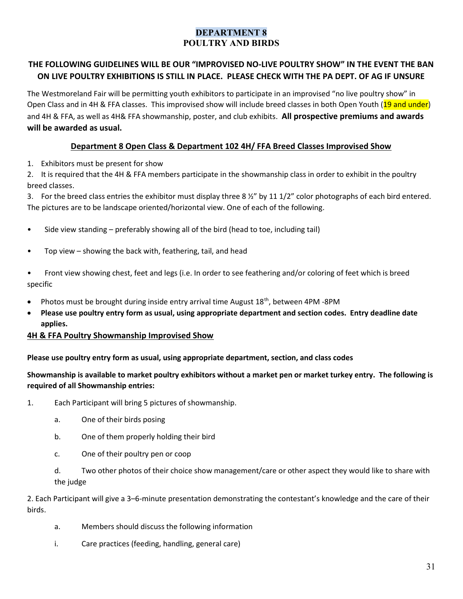# DEPARTMENT 8 POULTRY AND BIRDS

# THE FOLLOWING GUIDELINES WILL BE OUR "IMPROVISED NO-LIVE POULTRY SHOW" IN THE EVENT THE BAN ON LIVE POULTRY EXHIBITIONS IS STILL IN PLACE. PLEASE CHECK WITH THE PA DEPT. OF AG IF UNSURE

The Westmoreland Fair will be permitting youth exhibitors to participate in an improvised "no live poultry show" in Open Class and in 4H & FFA classes. This improvised show will include breed classes in both Open Youth (19 and under) and 4H & FFA, as well as 4H& FFA showmanship, poster, and club exhibits. All prospective premiums and awards will be awarded as usual.

### Department 8 Open Class & Department 102 4H/ FFA Breed Classes Improvised Show

1. Exhibitors must be present for show

2. It is required that the 4H & FFA members participate in the showmanship class in order to exhibit in the poultry breed classes.

3. For the breed class entries the exhibitor must display three 8  $\frac{1}{2}$ " by 11 1/2" color photographs of each bird entered. The pictures are to be landscape oriented/horizontal view. One of each of the following.

- Side view standing preferably showing all of the bird (head to toe, including tail)
- Top view showing the back with, feathering, tail, and head
- Front view showing chest, feet and legs (i.e. In order to see feathering and/or coloring of feet which is breed specific
- Photos must be brought during inside entry arrival time August 18th, between 4PM -8PM
- Please use poultry entry form as usual, using appropriate department and section codes. Entry deadline date applies.

#### 4H & FFA Poultry Showmanship Improvised Show

#### Please use poultry entry form as usual, using appropriate department, section, and class codes

Showmanship is available to market poultry exhibitors without a market pen or market turkey entry. The following is required of all Showmanship entries:

- 1. Each Participant will bring 5 pictures of showmanship.
	- a. One of their birds posing
	- b. One of them properly holding their bird
	- c. One of their poultry pen or coop
	- d. Two other photos of their choice show management/care or other aspect they would like to share with the judge

2. Each Participant will give a 3–6-minute presentation demonstrating the contestant's knowledge and the care of their birds.

- a. Members should discuss the following information
- i. Care practices (feeding, handling, general care)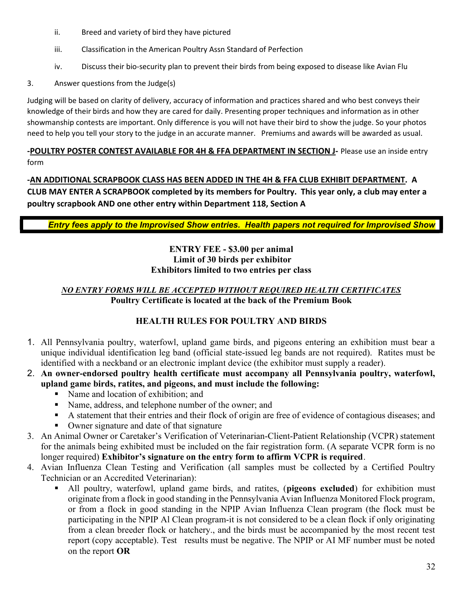- ii. Breed and variety of bird they have pictured
- iii. Classification in the American Poultry Assn Standard of Perfection
- iv. Discuss their bio-security plan to prevent their birds from being exposed to disease like Avian Flu
- 3. Answer questions from the Judge(s)

Judging will be based on clarity of delivery, accuracy of information and practices shared and who best conveys their knowledge of their birds and how they are cared for daily. Presenting proper techniques and information as in other showmanship contests are important. Only difference is you will not have their bird to show the judge. So your photos need to help you tell your story to the judge in an accurate manner. Premiums and awards will be awarded as usual.

### -POULTRY POSTER CONTEST AVAILABLE FOR 4H & FFA DEPARTMENT IN SECTION J- Please use an inside entry form

-AN ADDITIONAL SCRAPBOOK CLASS HAS BEEN ADDED IN THE 4H & FFA CLUB EXHIBIT DEPARTMENT. A CLUB MAY ENTER A SCRAPBOOK completed by its members for Poultry. This year only, a club may enter a poultry scrapbook AND one other entry within Department 118, Section A

Entry fees apply to the Improvised Show entries. Health papers not required for Improvised Show

### ENTRY FEE - \$3.00 per animal Limit of 30 birds per exhibitor Exhibitors limited to two entries per class

### NO ENTRY FORMS WILL BE ACCEPTED WITHOUT REQUIRED HEALTH CERTIFICATES Poultry Certificate is located at the back of the Premium Book

# HEALTH RULES FOR POULTRY AND BIRDS

- 1. All Pennsylvania poultry, waterfowl, upland game birds, and pigeons entering an exhibition must bear a unique individual identification leg band (official state-issued leg bands are not required). Ratites must be identified with a neckband or an electronic implant device (the exhibitor must supply a reader).
- 2. An owner-endorsed poultry health certificate must accompany all Pennsylvania poultry, waterfowl, upland game birds, ratites, and pigeons, and must include the following:
	- Name and location of exhibition; and
	- Name, address, and telephone number of the owner; and
	- A statement that their entries and their flock of origin are free of evidence of contagious diseases: and
	- Owner signature and date of that signature
- 3. An Animal Owner or Caretaker's Verification of Veterinarian-Client-Patient Relationship (VCPR) statement for the animals being exhibited must be included on the fair registration form. (A separate VCPR form is no longer required) Exhibitor's signature on the entry form to affirm VCPR is required.
- 4. Avian Influenza Clean Testing and Verification (all samples must be collected by a Certified Poultry Technician or an Accredited Veterinarian):
	- All poultry, waterfowl, upland game birds, and ratites, (pigeons excluded) for exhibition must originate from a flock in good standing in the Pennsylvania Avian Influenza Monitored Flock program, or from a flock in good standing in the NPIP Avian Influenza Clean program (the flock must be participating in the NPIP Al Clean program-it is not considered to be a clean flock if only originating from a clean breeder flock or hatchery., and the birds must be accompanied by the most recent test report (copy acceptable). Test results must be negative. The NPIP or AI MF number must be noted on the report OR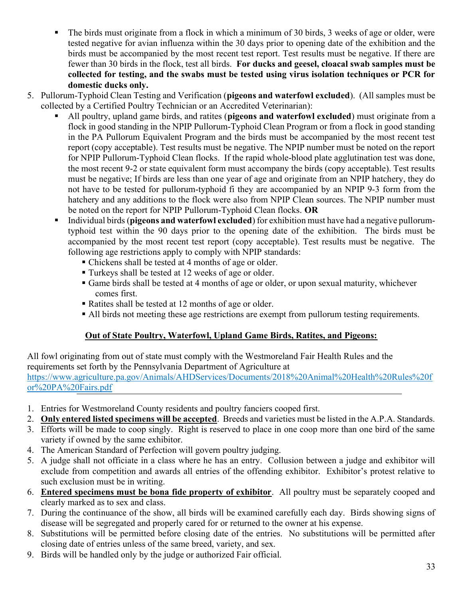- The birds must originate from a flock in which a minimum of 30 birds, 3 weeks of age or older, were tested negative for avian influenza within the 30 days prior to opening date of the exhibition and the birds must be accompanied by the most recent test report. Test results must be negative. If there are fewer than 30 birds in the flock, test all birds. For ducks and geesel, cloacal swab samples must be collected for testing, and the swabs must be tested using virus isolation techniques or PCR for domestic ducks only.
- 5. Pullorum-Typhoid Clean Testing and Verification (pigeons and waterfowl excluded). (All samples must be collected by a Certified Poultry Technician or an Accredited Veterinarian):
	- All poultry, upland game birds, and ratites (pigeons and waterfowl excluded) must originate from a flock in good standing in the NPIP Pullorum-Typhoid Clean Program or from a flock in good standing in the PA Pullorum Equivalent Program and the birds must be accompanied by the most recent test report (copy acceptable). Test results must be negative. The NPIP number must be noted on the report for NPIP Pullorum-Typhoid Clean flocks. If the rapid whole-blood plate agglutination test was done, the most recent 9-2 or state equivalent form must accompany the birds (copy acceptable). Test results must be negative; If birds are less than one year of age and originate from an NPIP hatchery, they do not have to be tested for pullorum-typhoid fi they are accompanied by an NPIP 9-3 form from the hatchery and any additions to the flock were also from NPIP Clean sources. The NPIP number must be noted on the report for NPIP Pullorum-Typhoid Clean flocks. OR
	- Individual birds (pigeons and waterfowl excluded) for exhibition must have had a negative pullorumtyphoid test within the 90 days prior to the opening date of the exhibition. The birds must be accompanied by the most recent test report (copy acceptable). Test results must be negative. The following age restrictions apply to comply with NPIP standards:
		- Chickens shall be tested at 4 months of age or older.
		- Turkeys shall be tested at 12 weeks of age or older.
		- Game birds shall be tested at 4 months of age or older, or upon sexual maturity, whichever comes first.
		- Ratites shall be tested at 12 months of age or older.
		- All birds not meeting these age restrictions are exempt from pullorum testing requirements.

# Out of State Poultry, Waterfowl, Upland Game Birds, Ratites, and Pigeons:

All fowl originating from out of state must comply with the Westmoreland Fair Health Rules and the requirements set forth by the Pennsylvania Department of Agriculture at https://www.agriculture.pa.gov/Animals/AHDServices/Documents/2018%20Animal%20Health%20Rules%20f or%20PA%20Fairs.pdf

- 1. Entries for Westmoreland County residents and poultry fanciers cooped first.
- 2. Only entered listed specimens will be accepted. Breeds and varieties must be listed in the A.P.A. Standards.
- 3. Efforts will be made to coop singly. Right is reserved to place in one coop more than one bird of the same variety if owned by the same exhibitor.
- 4. The American Standard of Perfection will govern poultry judging.
- 5. A judge shall not officiate in a class where he has an entry. Collusion between a judge and exhibitor will exclude from competition and awards all entries of the offending exhibitor. Exhibitor's protest relative to such exclusion must be in writing.
- 6. Entered specimens must be bona fide property of exhibitor. All poultry must be separately cooped and clearly marked as to sex and class.
- 7. During the continuance of the show, all birds will be examined carefully each day. Birds showing signs of disease will be segregated and properly cared for or returned to the owner at his expense.
- 8. Substitutions will be permitted before closing date of the entries. No substitutions will be permitted after closing date of entries unless of the same breed, variety, and sex.
- 9. Birds will be handled only by the judge or authorized Fair official.